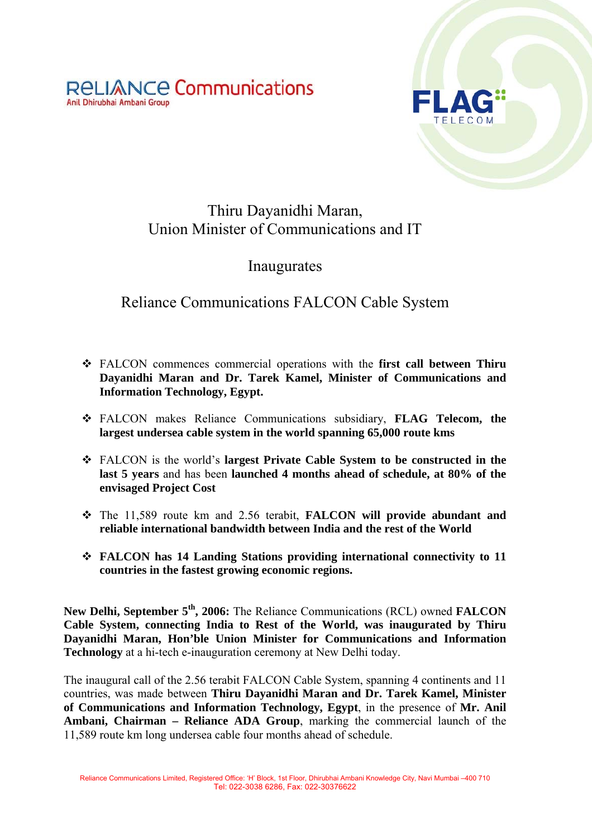



## Thiru Dayanidhi Maran, Union Minister of Communications and IT

## Inaugurates

## Reliance Communications FALCON Cable System

- FALCON commences commercial operations with the **first call between Thiru Dayanidhi Maran and Dr. Tarek Kamel, Minister of Communications and Information Technology, Egypt.**
- FALCON makes Reliance Communications subsidiary, **FLAG Telecom, the largest undersea cable system in the world spanning 65,000 route kms**
- FALCON is the world's **largest Private Cable System to be constructed in the last 5 years** and has been **launched 4 months ahead of schedule, at 80% of the envisaged Project Cost**
- The 11,589 route km and 2.56 terabit, **FALCON will provide abundant and reliable international bandwidth between India and the rest of the World**
- **FALCON has 14 Landing Stations providing international connectivity to 11 countries in the fastest growing economic regions.**

**New Delhi, September 5th, 2006:** The Reliance Communications (RCL) owned **FALCON Cable System, connecting India to Rest of the World, was inaugurated by Thiru Dayanidhi Maran, Hon'ble Union Minister for Communications and Information Technology** at a hi-tech e-inauguration ceremony at New Delhi today.

The inaugural call of the 2.56 terabit FALCON Cable System, spanning 4 continents and 11 countries, was made between **Thiru Dayanidhi Maran and Dr. Tarek Kamel, Minister of Communications and Information Technology, Egypt**, in the presence of **Mr. Anil Ambani, Chairman – Reliance ADA Group**, marking the commercial launch of the 11,589 route km long undersea cable four months ahead of schedule.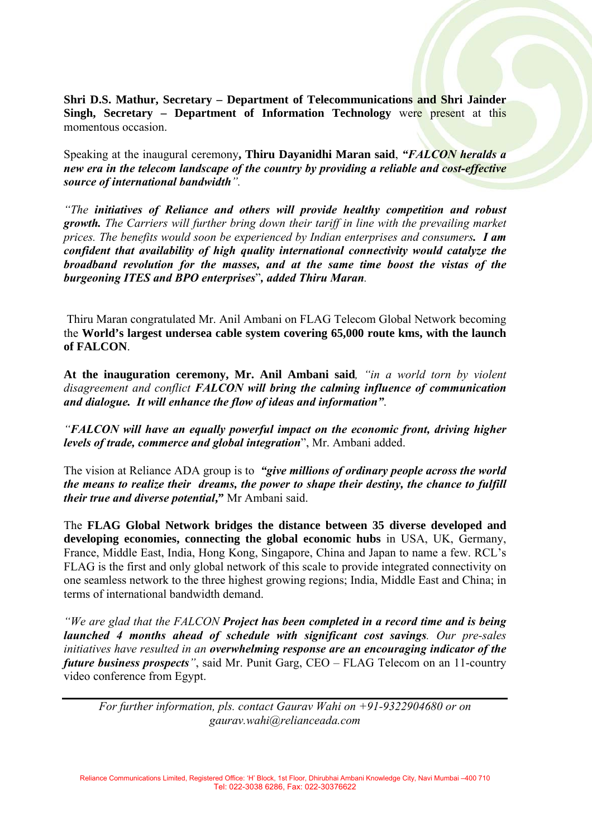**Shri D.S. Mathur, Secretary – Department of Telecommunications and Shri Jainder Singh, Secretary – Department of Information Technology** were present at this momentous occasion.

Speaking at the inaugural ceremony**, Thiru Dayanidhi Maran said**, *"FALCON heralds a new era in the telecom landscape of the country by providing a reliable and cost-effective source of international bandwidth".* 

*"The initiatives of Reliance and others will provide healthy competition and robust growth. The Carriers will further bring down their tariff in line with the prevailing market prices. The benefits would soon be experienced by Indian enterprises and consumers. I am confident that availability of high quality international connectivity would catalyze the broadband revolution for the masses, and at the same time boost the vistas of the burgeoning ITES and BPO enterprises*"*, added Thiru Maran.* 

Thiru Maran congratulated Mr. Anil Ambani on FLAG Telecom Global Network becoming the **World's largest undersea cable system covering 65,000 route kms, with the launch of FALCON**.

**At the inauguration ceremony, Mr. Anil Ambani said***, "in a world torn by violent disagreement and conflict FALCON will bring the calming influence of communication and dialogue. It will enhance the flow of ideas and information"*.

*"FALCON will have an equally powerful impact on the economic front, driving higher levels of trade, commerce and global integration*", Mr. Ambani added.

The vision at Reliance ADA group is to *"give millions of ordinary people across the world the means to realize their dreams, the power to shape their destiny, the chance to fulfill their true and diverse potential***,"** Mr Ambani said.

The **FLAG Global Network bridges the distance between 35 diverse developed and developing economies, connecting the global economic hubs** in USA, UK, Germany, France, Middle East, India, Hong Kong, Singapore, China and Japan to name a few. RCL's FLAG is the first and only global network of this scale to provide integrated connectivity on one seamless network to the three highest growing regions; India, Middle East and China; in terms of international bandwidth demand.

*"We are glad that the FALCON Project has been completed in a record time and is being launched 4 months ahead of schedule with significant cost savings. Our pre-sales initiatives have resulted in an overwhelming response are an encouraging indicator of the future business prospects"*, said Mr. Punit Garg, CEO – FLAG Telecom on an 11-country video conference from Egypt.

*For further information, pls. contact Gaurav Wahi on +91-9322904680 or on gaurav.wahi@relianceada.com*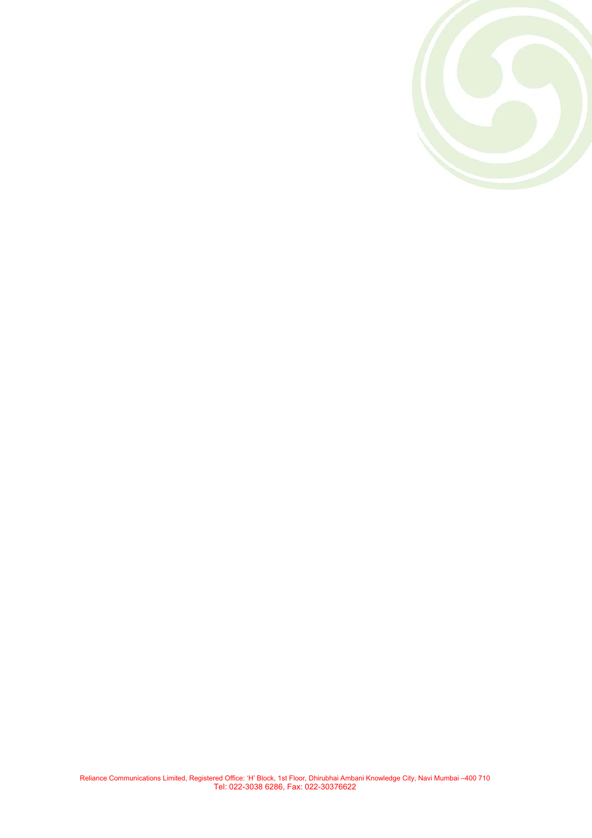